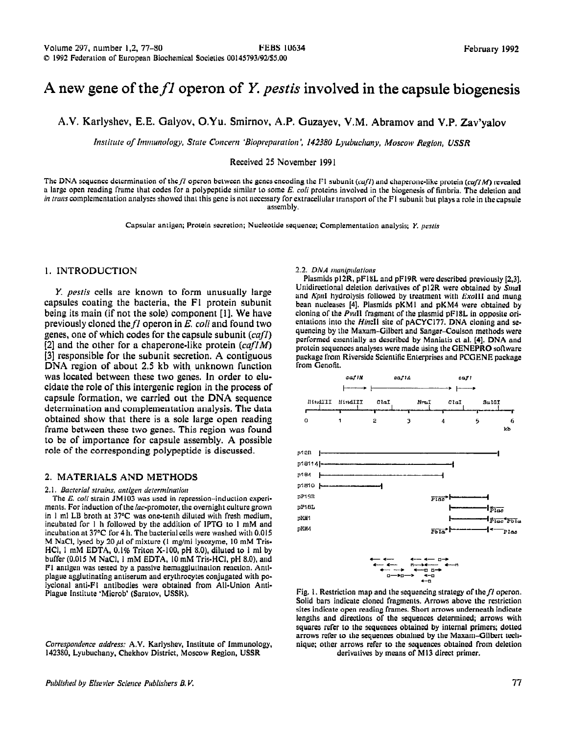# A new gene of the fl operon of Y. *pestis* involved in the capsule biogenesis

A.V. Karlyshev, E.E. Galyov, O.Yu. Smirnov, A.P. Guzayev, V.M. Abramov and V.P. Zav'yalov

*hsrtrure of Immunology, Srure Coment 'Bioprepurulion* ', **142380** *Lyubuchny, Moscow Region, USSR* 

Received 25 November 1991

The DNA sequence determination of the  $fl$  operon between the genes encoding the F1 subunit (cafl) and chaperone-like protein (cafl M) revealed a large open reading frame that codes for a polypcptide similar to some *E. coli* proteins involved in the biogenesis of fimbrir. The deletion and *In trans* complementation analyses showed that this gene is not necessary for extracellular transport of the Fl subunit but plays a role in the capsule assembly.

Capsular antigen; Prolcin sccrction; Nuclcotidc sequence; Complemcntation analysis; Y. *pesris* 

# 1. INTRODUCTION **2.2.** DNA manipulations

I'. *pestis cells* are known to form unusually large capsules coating the bacteria, the FI protein subunit being its main (if not the sole) component [l]. We have previously cloned the fl operon in E. coli and found two genes, one of which codes for the capsule subunit  $(caf)$ [2] and the other for a chaperone-like protein  $(caf/M)$ [3] responsible for the subunit secretion. A contiguous DNA region of about 2.5 kb with unknown function was located between these two genes. In order to elucidate the role of this intergenic region in the process of capsule formation, we carried out the DNA sequence determination and complementation analysis. The data obtained show that there is a sole large open reading frame between these two genes. This region was found to be of importance for capsule assembly. A possible role of the corresponding polypeptide is discussed.

## 2. MATERIALS AND METHODS

### 2.1. Bacterial strains, antigen determination

The *E. coli* strain JM103 was used in repression-induction experiments. For induction of the lac-promoter, the overnight culture grown in 1 ml LB broth at  $37^{\circ}$ C was one-tenth diluted with fresh medium, incubated for I h followed by the addition of IPTG to 1 mM and incubation at 37°C for 4 h. The bacterinl cells were washed with 0.015 M NaCl, lysed by 20  $\mu$ l of mixture (1 mg/ml lysozyme, 10 mM Tris-HCl, 1 mM EDTA,  $0.1\%$  Triton X-100, pH 8.0), diluted to 1 ml by buffer (0.015 M NaCI, I mM EDTA, IO mM Tris-HCI, pH 8.0), and Fl antigen was tested by a passive hemagglutination reaction. Antiplague agglutinating antiserum and erythrocytes conjugated with polyclonal anti-F1 antibodies were obtained from All-Union Anti-Plague Institute 'Microb' (Saratov, USSR).

*Correspondence address: A.V. Karlyshev, Institute of Immunology,* 142380, Lyubuchany, Chekhov District, Moscow Region, USSR

Plasmids p12R, pF18L and pF19R were described previously [2,3]. Unidirectional deletion derivatives of p12R were obtained by Smal and Kpnl hydrolysis followed by treatment with Exolll and mung bean **nuclezes [4]. Plusmids** pKMl and pKM4 were obtained by cloning of the *PvuII* fragment of the plasmid pF18L in opposite orientations into **the Hincll site of pACYC177. DNA cloning and se**quencing by the Maxam-Gilbert and Sanger-Coulson methods were performed essentially as described by Maniatis et al. [4]. DNA and protein sequences analyses were made using the GENEPRO software package from Riverside Scientific Enterprises and PCGENE package from Gcnofit.



Fig. 1. Restriction map and the sequencing strategy of the *fl* operon. Solid bars indicate cloned fragments. Arrows above the restriction sites indicate open reading frames. Short arrows underneath indicate lengths and dircctlons of the sequences determined; arrows with squares refer to the sequences obtained by internal primers; dotted arrows refer to the sequences obtained by the Maxam-Gilbert technique; other arrows refer to the scqucnccs obtained from dclction derivatives by means of M13 direct primer.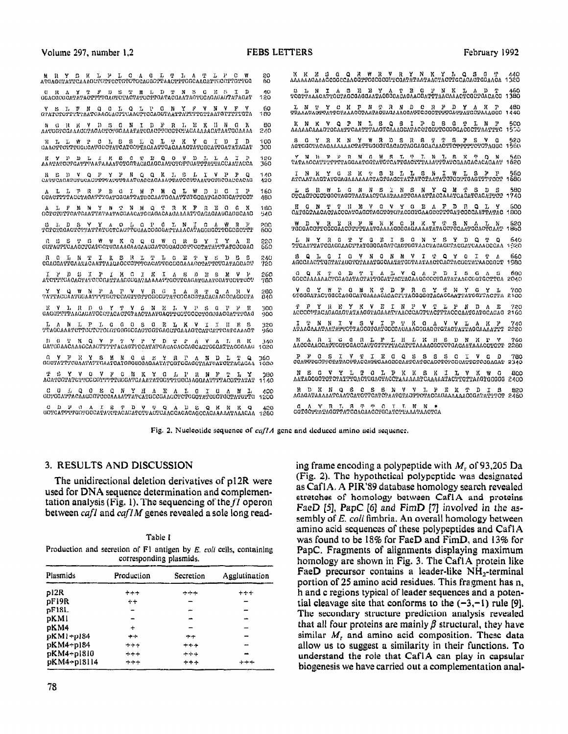$^{M}$   $^{C}$   $^{C}$   $^{C}$   $^{C}$   $^{C}$   $^{C}$   $^{C}$   $^{C}$   $^{C}$   $^{C}$   $^{C}$   $^{C}$   $^{C}$   $^{C}$   $^{C}$   $^{C}$   $^{C}$   $^{C}$   $^{C}$   $^{C}$   $^{C}$   $^{C}$   $^{C}$   $^{C}$   $^{C}$   $^{C}$   $^{C}$   $^{C}$   $^{C}$   $^{C}$   $^{C}$   $^{C}$   $^{C}$   $^{C}$   $^{C}$   $^{C}$ UGhC"C"CA!Ph(l'ALYIYL'~L'(IIIIACll'hC'PATUC~"~0A'PAC"AATA~l'~UGA~AllAOTA'PAaAT '~Ca~~AAACAn"llOC~~ACC0A""AATAOaCCACAOAACaA~TAAUAAACTC"~~"ACACO 1380  $\parallel$ OHAA<br/> $\parallel$  V $\parallel$ D $\parallel$ G $\parallel$ N $\parallel$ T $\parallel$ P<br/> $\parallel$ R $\parallel$ L $\parallel$ E $\parallel$ K $\parallel$ I<br/> $\parallel$  K $\parallel$ AATGGTCCAAA<br/>ACATAA 240 AAAA 240 AAAA 240 AAAA 240 AAAA 240 AAAA 240 AAAA 4534 AAA 4534 AA 1,: I. L d 1' C I; S S I; Q L '5' K Y a :C ll I II lIAAiJIPC'l'L'TlIG~:CA'J'"CC~l'A~~CATCI~l"IACAA~l"llaACAAA"'llA'L'COCA'l"~0A~llATA"AT :Ei S C Y RKN Y W RDS R S TTS P S Y" <sup>520</sup> AOlllC"CTACAOA~~Al"aU~'~CACAaTAaCAOOACMCTTC~~~~C~~GTAUUC 15fiII AAA~~A~J!C~~~A~~~~~~AA~~AAA~~'CTC~~'AUA~A"CAAT~TC~T~~UAT'~TA~~"~A~OAATACCA 'L'/ITAACCA~~'T~~~~lu~T~~~AAT~CTA~l'0ICAl~~0AC~~TMA~lu~ATCGAA0ACACA0AA~~ lG20 ~I~~l:~~ITI'~A'POAA'I'TA'I'AA'l'AClIAACA'~I'Cl:A~~ACAAllAAAA~\*~0A0A0AAU~A"UCAAO 540 C,hT00TAACACT1~CCCATOAG~ThGG~0T"TACG~T~MG~CT'~5A~COCCAATT~~AC ID00 'I'C'~C!CaIIAC'L'C'J'!PA'~'~A'~~iCTCAC!P'PUCAACC~G~A'~'PAAACA~AUC~UGff~~~GC0C~"~~ 600 1'00UAC"TTCGC"AAC0'~~~AAT~~~AAA~~~CAUAAAATATACCTCCAATCCAC~aAAT 1060 I: **;j L' T !:** W VI K " Q U W 0 It S y' :[ Y A P L'lITAG1Yl'~hACCTCATli~~l:"AAA~AACAAU"ATO(ICA"C~'CllTA~~A~~~~ATCC00AO TEAGATIEAARA GARAII ILAA ARAB ERA ARABERTAAN ARABA AGAHA AGAA AFRAA AGGA AFRAA AGGA AFRAA AGGA AFRAA AGGA AFRA P V I, 11 D 01 Y 'I V & M II I, V P S 0 P F F 300 P I P Y R<br>GAGG!!!!!!!!AAGAGATQCGTACACTGI^AAG!!!AA!!!GAG{!!!!@ACCAT!!!!!@AO ACCCCT!!!ACAQAQ **'I'~A"ChAA~~L:TTI:LUPC'~"~;~i'J!"lI"~iC"A"~""'1CiA"CT"AAA"'CCA'~CA'l"~OA'P"MA"'~** ')GO h'~AAC~TAAT~~~GTTAGCa'~aATCCCOACAAAGCUA(IC!PG'~A0Tn'l'TA0CAAAA'~l~ 2220 OA'Pl~~AACAhA~CAh~i~~'~'~u~ACAUT1'OCA'l'A!l'~iAOhCACCAQCA"T~i0OA~TAC~~AAl~ IO%0 AhCCCMCG~~CC1!C[mACCA~TCTT1ACA~~TAAMCGCTCT"A~AATAAACCT"'~~ 22SO ACA'PUO'I'AT~TiPGI:CO'I!L'I'IVril(iL;A'PGA~~ATO0~~~!U"CbAOClAATTJV1'AC~TTATAT 1140 AATAaC"OI'CPC~AT~"~"ACT0"A0TA~0TAAAAAA~~MAAATAC~T~~TAAGT~CGC0 2400 C D F (1 A T S 'P U V 'L' G U U A N K Q A 20 G F A Y A H S COTONIALIANTAN CONTRADITION AND A T U CHOCHLIAN ANG

Y II Y s x I> 13 L c A a L T 1, A 'I' L 1' c W **20** X I( X S u P H W R Y R Y N K Y L Q S II 'f **4.40**  " RAY T P OS 'I M J; D T N Y C 1cS I D 1% S I; N I A S 32 l?YA T E U p NK LA 1) T 460 Y S I, F N Q C I, Q L P C N Y P Y W Y F Y GO I L N P Y C K P N P R N D C I P D Y A K P 480<br>GTATCTCTTTTTLANTCAAGGACTTLAACTTCCAGGTAATTATTLTTLATAATGTTTTTGTA 180 TTAAATAATTATATAACCTAATACTAAAAGATTGCCCTTTTGATTATGCTAAAGCC 1440 N II It I( Y 11 S C N I D F R I. E K II N G I\ 80 I( N K VQF N LS P9 11'0 S" T L N B <sup>500</sup> K Y F ll Ll I( s c !PP P c v II .T, LA I P 3'6; Y N 14 Ir F R N G M S L T L N L S K T 9 N <sup>540</sup> n E 1) V (1 P Y B N Q Q K L 6 L I VP P Q I10 I N K Y G E K 'I S EL L S N I W L S P 1' <sup>560</sup> CA'L'~~CA(;All'U11'UCAU"A~"~TTAATCAflCA"AAA'~~ATCC'~"~AA'ITCi~C[ICOACCACAO **420** ~~TCMTAAGTA'I'G"A~AAAAAAC'~A~~~A~CTA'~TATC'~A~~A~0TCO~u~OAG'~TT'~OC~ <sup>1680</sup> A L L PRP D G L M P M Q L W D D C I P 160 L S R W L G N N S L N S N Y Q M P S D S 580<br>GCACTTTTACCTAGATTEGATGRATHOCAATGOAATTGTGGGATGAGGGATTCCP 480 CTCAGTCGCTGGCTAGCTAATAACTCAATAAATTGAAATGAGAATGAGATTCP 1740 A HR HR N Y HR Y A V Y A E A F D R Q L Y 600<br>HA GATGGTAACACTACCCATGAGCTAGGTTATGGGTGAAGCCTTTGATGGCCAATTATAC 1800 " L D S Y Y A Q L Q l'C L N I G A W R J' **2OC** W D V I3 13 R P N Y X C N K Y 'p S N A L N <sup>620</sup> 220 **I, N Y R 0 T Y 0 E I S C N Y S Y D Q T Q 64**0<br>220 **I, N Y R 0 T Y 0 E I S C N Y S Y D Q T** Q 640 17 0 :I, N lil I I( S II L 1' L C % 1' X :: 1) S S 240 Y P L C IO V NO NM V IT QY 0 IT A 660 I Y n 5 I p I x c 3 I( IA s O l\$ s N. v p 2GO 0 Q It T 0 D T I A L V P A l'D I S G A " 600 ATC'JY~'I!LIACM'J!A'J'Ct:C0A!C'~'AA~l;~lUA';'AhAAA'JYPc;C'PTCAliA'~llrlAA'~~:cln'llcC'I1TUCT '100 0CCCAAAAAAC1'CDAQ~~A~!~l~~Ch'~'~AGTACA' 2040  $Y$   $Y$   $Q$   $W$   $N$   $P$   $Q$   $Y$   $Q$   $Q$   $X$   $W$   $Q$   $Q$   $X$   $W$   $P$   $Q$   $M$   $K$   $P$   $Q$   $Y$   $R$   $G$   $Y$   $P$   $Q$   $Y$   $P$   $Q$   $X$   $P$   $Q$   $Y$   $P$   $Q$   $X$   $P$   $Q$   $Y$   $P$   $Q$   $Y$   $P$   $Q$   $Y$   $P$   $Q$   $Y$   $P$   $Q$   $Y$   $P$   $Q$  300 <sup>'i</sup>'P Y R E Y K V E I N P V T L P N D A E '720<br>900 ACCCCI™ACAGAGAGTATAAGGTAGAAAT\AAGCCAGTTACT™ACCCAATGATGCAGAG 21GO LA N L I? I, G G 0 S 0 P L K V I I" :R S 320 I I M N I V S V I p 'I' K (1 A V V L A K I' 740 **<sup>11</sup>**0 'I' K 4 v 16 1' Y 1' Y n 11' P A V A r, n K 340 N A R 1 G a R L B L 11 L K I+ S D N K 1' V 760 n Y 13 II X s M Al a 1; 15 Y R r A N D 1; T 9 360 P Y a s Iv\*IizaQssssc~ver2 <sup>700</sup> d~J~:'PA'IY~'CUAA'1'A1'T~:AAZ'"AT~00UCGnGnA'~~~T~0TOCA~0'~AA~'~lA~O~"~ACACAA 10.530 CCAl~TocT'l'cTATAcTTAccA~~aMa"0chATcATocAGcT~~aaOATT~TcaaAoAT 2340 'l' S Y V 0 V i' G l6 K Y G 1, I' H N B T L Y 380 N S G YY LT 0 LBK K S II I LY K W G QOO CONFIDENTIAL TELL A TELL I DE MIL A MIL A CONTIA A MUL SECES NUVULE TEKT DI SECES DE MIL PEKT DI SEC<br>GONGANTACAAGONGONAAANNANANANGCGAAGTENGGYATOONGNOMINGY TELO AGAGANAAAAAAAGAANGANGUNANGKAGHOTACGAGAAAAAAGGAATATT  $^{420}$   $^{0}$  A Y R L S T T C I L N N \*  $^{260}$  GGT0CTTATAGRATCACATCCACACCTCCATCCTTHAAATAACTGA

Fig. 2. Nuclcotidc sequence or *cufiA gene* and deduced amino acid sequence.

# 3. RESULTS AND DISCUSSION

The unidirectional deletion derivatives of p12R were used for DNA sequence determination and complementation analysis (Fig. 1). The sequencing of the  $f/$  operon between *cafl* and *cafIM* genes revealed a sole long read-

|                                                                     |  |  | Table I                 |  |  |  |
|---------------------------------------------------------------------|--|--|-------------------------|--|--|--|
| Production and secretion of F1 antigen by E, coli cells, containing |  |  |                         |  |  |  |
|                                                                     |  |  | corresponding plasmids. |  |  |  |

| Plasmids    | Production | Secretion | Agglutination |
|-------------|------------|-----------|---------------|
| p12R        | +++        | ታተተ       | $+ + +$       |
| pF19R       | $+ +$      |           |               |
| pF18L       |            |           | --            |
| pKM1        |            |           |               |
| pKM4        | ÷          |           |               |
| $pKM1+p184$ | مادها      | ታተ        |               |
| pKM4+p184   | +++        | $***$     |               |
| pKM4+p1810  | $+ + +$    | ++4       |               |
| pKM4+p18114 | $+ + +$    | $***$     | $+ + +$       |

ing frame encoding a polypeptide with  $M<sub>r</sub>$  of 93,205 Da (Fig. 2). The hypothetical polypeptide was designated as Cafl A. A PIR'89 database homology search revealed stretches of homology between CaflA and proteins FaeD  $[5]$ , PapC  $[6]$  and FimD  $[7]$  involved in the assembly of *E. coli* fimbria. An overall homology between amino acid sequences of these polypeptides and CaflA was found to be 18% for FaeD and FimD, and 13% for PapC. Fragments of alignments displaying maximum homology are shown in Fig. 3. The CaflA protein like FaeD precursor contains a leader-like  $NH<sub>2</sub>$ -terminal portion of 25 amino acid residues. This fragment has n, h and c regions typical of leader sequences and a potential cleavage site that conforms to the  $(-3,-1)$  rule [9]. The secondary structure prediction analysis revealed that all four proteins are mainly  $\beta$  structural, they have similar  $M_t$  and amino acid composition. These data allow us to suggest a similarity in their functions. To understand the role that CaflA can play in capsular biogenesis we have carried out a complementation anal-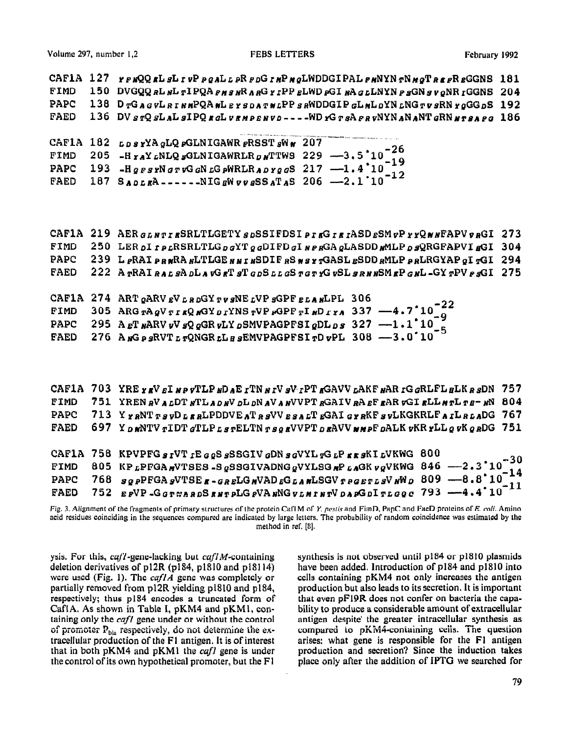| FIMD<br><b>FAED</b>         | CAF1A 127 $r_F \sqrt{Q} g L g L r \sqrt{P} g A L r F R F D G r M P g L W D D G I P A L F M N Y N F N g g T R g F R g G S N S$ 181<br>150 DVGQQRLNLTIPQAFMSNRARGYIPPELWDFGINAGLLNYNFSGNSVQNRIGGNS 204<br>PAPC 138 DrGAGVLRINMPQAMLEYSDATWLPPSRWDDGIPGLMLDYNLNGTVSRNYQGGDS 192<br>136 DV $srQsl_ALgIPQ$ $sdLv$ $snPeswD---WD$ $scr$ $sA$ $pr$ $vNYN_ANg$ $NT$ $gRN$ $sr$ $sa$ $r$ $g$ 186 |  |
|-----------------------------|-----------------------------------------------------------------------------------------------------------------------------------------------------------------------------------------------------------------------------------------------------------------------------------------------------------------------------------------------------------------------------------------|--|
| FIMD<br>PAPC<br><b>FAED</b> | CAF1A 182 LDSYYAQLQ PGLNIGAWR FRSST SWW 207<br>205 -HraY LNLQ SGLNIGAWRLR DATTWS 229 $-3.5^{\circ}10^{-26}$<br>193 -H $g$ F s rN $g$ T vG $g$ N LG pWRLR $g$ D $r$ $g$ $g$ S 217 $-1.4^{\circ}10^{-19}$<br>187 SADLKA------NIGEWUUSSSATAS 206 --2.1'10 <sup>-12</sup>                                                                                                                   |  |

|             | CAF1A 219 AER GLNTI SERLTLGETY SDSSIFDSIPISGIEIASDESMUP YYQNNFAPV VRGI 273                                                                                                                                                                                                                            |  |
|-------------|-------------------------------------------------------------------------------------------------------------------------------------------------------------------------------------------------------------------------------------------------------------------------------------------------------|--|
| FIMD        | 250 LER of recRSRLTLG pgYT g GDIFD gI NegGA gLASDD WMLP p gQRGFAPVI gGI 304                                                                                                                                                                                                                           |  |
| PAPC        | 239 L PRAI PRARA NLTLGE NNI NSDIF RS NSYTGASL ESDD RMLP PRLRGYAP OI TGI 294                                                                                                                                                                                                                           |  |
| <b>FAED</b> | 222 ATRAIRALSADLAVGET STGDSLLGSTGTYGVSLSRNNSMEPGNL-GYTPVFSGI 275                                                                                                                                                                                                                                      |  |
|             | CAF1A 274 ART $g$ ARV $gV$ $L$ $R$ $D$ GY $T$ $V$ $S$ NE $L$ VP $S$ GPF $E$ $L$ $A$ $N$ LPL 306                                                                                                                                                                                                       |  |
| FIMD        |                                                                                                                                                                                                                                                                                                       |  |
| PAPC        |                                                                                                                                                                                                                                                                                                       |  |
| <b>FAED</b> | 305 ARG $\pi$ A $gV$ $r$ $r$ $R$ $gGY$ $p$ $rY$ NS $rVP$ $pGPF$ $rI$ $nD$ $r \times n$ 337 - 4.7 <sup>2</sup> 10 <sup>-22</sup><br>295 A $E$ T $n$ ARV $vV$ $sQ$ $gGR$ $vLY$ $pSWPAGPFSI$ $gDL$ $pS$ 327 - 1.1 <sup>2</sup> 10 <sup>-9</sup><br>276 A $nG$ $p$ $sRV$ T $r$ $rQNGR$ $cL$ $s$ $sEWPPAG$ |  |
|             |                                                                                                                                                                                                                                                                                                       |  |
|             |                                                                                                                                                                                                                                                                                                       |  |

|             | CAF1A 703 YRE $\gamma$ gV $\epsilon$ I NP $\gamma$ TLP ND $\Delta$ E $\iota$ TN $\kappa$ rV $s$ V $\iota$ PT gGAVV $\iota$ AKF NAR $\iota$ G $\varsigma$ gRLFL $\iota$ ELK $\kappa$ $s$ DN 757 |
|-------------|------------------------------------------------------------------------------------------------------------------------------------------------------------------------------------------------|
| FIMD        | 751 YREN RVALDT NTLADNV DLDNAVANVVPT RGAIV RA EF EAR VGI ELLHTLTE-NN 804                                                                                                                       |
| <b>PAPC</b> | 713 YraNT ravD La aLPDDVE AT a sVV sa a LT gGAI GraKF svLKGKRLF a ILALADG 767                                                                                                                  |
| <b>FAED</b> | 697 YDWNTV TIDT GTLP L STELTN T SQRVVPT DRAVV WMPF DALK VKR YLL Q VK QRDG 751                                                                                                                  |
|             |                                                                                                                                                                                                |
|             | CAF1A 758 KPVPFG grVT rE G QS gSSGIV GDN g GVYL TG LP KK SKI LVKWG 800                                                                                                                         |
| FIMD        | 805 KP LPFGA MVTSES -S &SSGIVADNG &VYLSG MP LAGK v &VKWG 846 -2.3'10"30                                                                                                                        |
|             |                                                                                                                                                                                                |
| PAPC        | 768 $s_{R}$ PFGA SVTSE $s$ -GRELG NVAD EG <sub>E</sub> A WLSGV TPGETLSV NWD 809 -8.8 <sup>.</sup> 10 <sup>-14</sup><br>752 EFVP-GGTWARDS ENTPLGFVANNGVLMINTVDARGDITLGQC 793 $-4.4.10^{-11}$    |

Fig. 3. Alignment of the fragments of primary structures of the protein Cafl M of Y. *pestis* and FimD, PapC and FacD proteins of E. coli. Amino acid residues coinciding in lhe sequences compared are indicated by large letters. The probability of random coincidence was caimatcd by the method in ref. [S].

ysis. For this,  $caf1$ -gene-lacking but  $caf1M$ -containing deletion derivatives of  $p12R$  ( $p184$ ,  $p1810$  and  $p18114$ ) were used (Fig. 1). The  $cafIA$  gene was completely or partially removed from p12R yielding p1810 and p184, respectively; thus p184 encodes a truncated form of **Cafl A.** As shown in Table I, pKM4 and pKM1, containing only the  $caf$  gene under or without the control of promoter P<sub>bla</sub> respectively, do not determine the extracellular production of the Fl antigen. It is of interest that in both pKM4 and pKM1 the *cufl* gene is under the control of its own hypothetical promoter, but the Fl

synthesis is not observed until p184 or p1810 plasmids have been added. Introduction of  $p184$  and  $p1810$  into cells containing pKM4 not only increases the antigen production but also leads to its secretion. It is important that even pF19R does not confer on bacteria the capability to produce a considerable amount of extracellular antigen despite' the greater intracellular synthesis as compared to pKM4-containing cells. The question arises: what gene is responsible for the Fl antigen production and secretion? Since the induction takes place only after the addition of IPTG we searched for